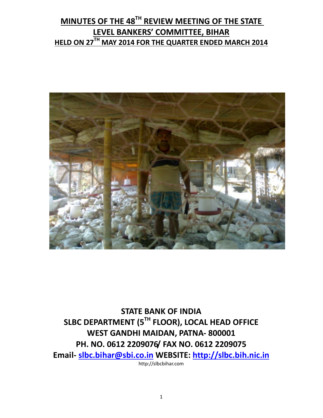# MINUTES OF THE 48<sup>TH</sup> REVIEW MEETING OF THE STATE LEVEL BANKERS' COMMITTEE, BIHAR HELD ON 27<sup>TH</sup> MAY 2014 FOR THE QUARTER ENDED MARCH 2014



STATE BANK OF INDIA SLBC DEPARTMENT (5TH FLOOR), LOCAL HEAD OFFICE WEST GANDHI MAIDAN, PATNA- 800001 PH. NO. 0612 2209076/ FAX NO. 0612 2209075 Email- slbc.bihar@sbi.co.in WEBSITE: http://slbc.bih.nic.in http://slbcbihar.com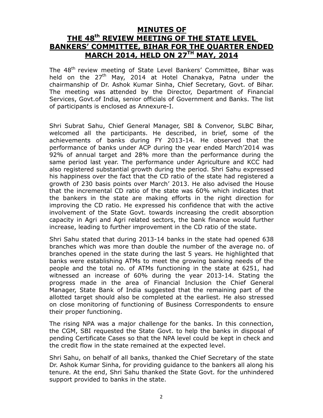#### MINUTES OF

# THE 48<sup>th</sup> REVIEW MEETING OF THE STATE LEVEL BANKERS' COMMITTEE, BIHAR FOR THE QUARTER ENDED MARCH 2014, HELD ON 27TH MAY, 2014

The 48<sup>th</sup> review meeting of State Level Bankers' Committee, Bihar was held on the 27<sup>th</sup> May, 2014 at Hotel Chanakya, Patna under the chairmanship of Dr. Ashok Kumar Sinha, Chief Secretary, Govt. of Bihar. The meeting was attended by the Director, Department of Financial Services, Govt.of India, senior officials of Government and Banks. The list of participants is enclosed as Annexure-I.

Shri Subrat Sahu, Chief General Manager, SBI & Convenor, SLBC Bihar, welcomed all the participants. He described, in brief, some of the achievements of banks during FY 2013-14. He observed that the performance of banks under ACP during the year ended March'2014 was 92% of annual target and 28% more than the performance during the same period last year. The performance under Agriculture and KCC had also registered substantial growth during the period. Shri Sahu expressed his happiness over the fact that the CD ratio of the state had registered a growth of 230 basis points over March' 2013. He also advised the House that the incremental CD ratio of the state was 60% which indicates that the bankers in the state are making efforts in the right direction for improving the CD ratio. He expressed his confidence that with the active involvement of the State Govt. towards increasing the credit absorption capacity in Agri and Agri related sectors, the bank finance would further increase, leading to further improvement in the CD ratio of the state.

Shri Sahu stated that during 2013-14 banks in the state had opened 638 branches which was more than double the number of the average no. of branches opened in the state during the last 5 years. He highlighted that banks were establishing ATMs to meet the growing banking needs of the people and the total no. of ATMs functioning in the state at 6251, had witnessed an increase of 60% during the year 2013-14. Stating the progress made in the area of Financial Inclusion the Chief General Manager, State Bank of India suggested that the remaining part of the allotted target should also be completed at the earliest. He also stressed on close monitoring of functioning of Business Correspondents to ensure their proper functioning.

The rising NPA was a major challenge for the banks. In this connection, the CGM, SBI requested the State Govt. to help the banks in disposal of pending Certificate Cases so that the NPA level could be kept in check and the credit flow in the state remained at the expected level.

Shri Sahu, on behalf of all banks, thanked the Chief Secretary of the state Dr. Ashok Kumar Sinha, for providing guidance to the bankers all along his tenure. At the end, Shri Sahu thanked the State Govt. for the unhindered support provided to banks in the state.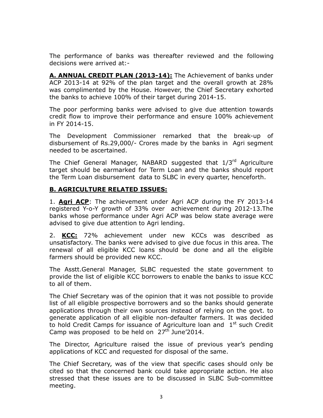The performance of banks was thereafter reviewed and the following decisions were arrived at:-

A. ANNUAL CREDIT PLAN (2013-14): The Achievement of banks under ACP 2013-14 at 92% of the plan target and the overall growth at 28% was complimented by the House. However, the Chief Secretary exhorted the banks to achieve 100% of their target during 2014-15.

The poor performing banks were advised to give due attention towards credit flow to improve their performance and ensure 100% achievement in FY 2014-15.

The Development Commissioner remarked that the break-up of disbursement of Rs.29,000/- Crores made by the banks in Agri segment needed to be ascertained.

The Chief General Manager, NABARD suggested that 1/3<sup>rd</sup> Agriculture target should be earmarked for Term Loan and the banks should report the Term Loan disbursement data to SLBC in every quarter, henceforth.

#### B. AGRICULTURE RELATED ISSUES:

1. **Agri ACP**: The achievement under Agri ACP during the FY 2013-14 registered Y-o-Y growth of 33% over achievement during 2012-13.The banks whose performance under Agri ACP was below state average were advised to give due attention to Agri lending.

2. KCC: 72% achievement under new KCCs was described as unsatisfactory. The banks were advised to give due focus in this area. The renewal of all eligible KCC loans should be done and all the eligible farmers should be provided new KCC.

The Asstt.General Manager, SLBC requested the state government to provide the list of eligible KCC borrowers to enable the banks to issue KCC to all of them.

The Chief Secretary was of the opinion that it was not possible to provide list of all eligible prospective borrowers and so the banks should generate applications through their own sources instead of relying on the govt. to generate application of all eligible non-defaulter farmers. It was decided to hold Credit Camps for issuance of Agriculture loan and  $1<sup>st</sup>$  such Credit Camp was proposed to be held on  $27<sup>th</sup>$  June'2014.

The Director, Agriculture raised the issue of previous year's pending applications of KCC and requested for disposal of the same.

The Chief Secretary, was of the view that specific cases should only be cited so that the concerned bank could take appropriate action. He also stressed that these issues are to be discussed in SLBC Sub-committee meeting.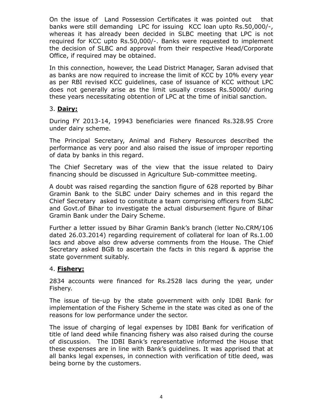On the issue of Land Possession Certificates it was pointed out that banks were still demanding LPC for issuing KCC loan upto Rs.50,000/-, whereas it has already been decided in SLBC meeting that LPC is not required for KCC upto Rs.50,000/-. Banks were requested to implement the decision of SLBC and approval from their respective Head/Corporate Office, if required may be obtained.

In this connection, however, the Lead District Manager, Saran advised that as banks are now required to increase the limit of KCC by 10% every year as per RBI revised KCC guidelines, case of issuance of KCC without LPC does not generally arise as the limit usually crosses Rs.50000/ during these years necessitating obtention of LPC at the time of initial sanction.

#### 3. <u>Dairy:</u>

During FY 2013-14, 19943 beneficiaries were financed Rs.328.95 Crore under dairy scheme.

The Principal Secretary, Animal and Fishery Resources described the performance as very poor and also raised the issue of improper reporting of data by banks in this regard.

The Chief Secretary was of the view that the issue related to Dairy financing should be discussed in Agriculture Sub-committee meeting.

A doubt was raised regarding the sanction figure of 628 reported by Bihar Gramin Bank to the SLBC under Dairy schemes and in this regard the Chief Secretary asked to constitute a team comprising officers from SLBC and Govt.of Bihar to investigate the actual disbursement figure of Bihar Gramin Bank under the Dairy Scheme.

Further a letter issued by Bihar Gramin Bank's branch (letter No.CRM/106 dated 26.03.2014) regarding requirement of collateral for loan of Rs.1.00 lacs and above also drew adverse comments from the House. The Chief Secretary asked BGB to ascertain the facts in this regard & apprise the state government suitably.

#### 4. Fishery:

2834 accounts were financed for Rs.2528 lacs during the year, under Fishery.

The issue of tie-up by the state government with only IDBI Bank for implementation of the Fishery Scheme in the state was cited as one of the reasons for low performance under the sector.

The issue of charging of legal expenses by IDBI Bank for verification of title of land deed while financing fishery was also raised during the course of discussion. The IDBI Bank's representative informed the House that these expenses are in line with Bank's guidelines. It was apprised that at all banks legal expenses, in connection with verification of title deed, was being borne by the customers.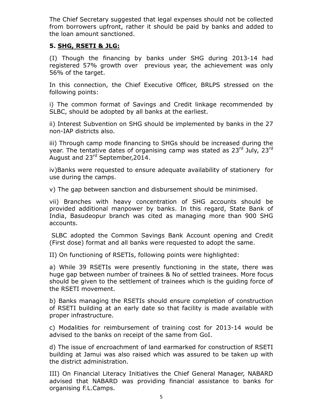The Chief Secretary suggested that legal expenses should not be collected from borrowers upfront, rather it should be paid by banks and added to the loan amount sanctioned.

#### 5. SHG, RSETI & JLG:

(I) Though the financing by banks under SHG during 2013-14 had registered 57% growth over previous year, the achievement was only 56% of the target.

In this connection, the Chief Executive Officer, BRLPS stressed on the following points:

i) The common format of Savings and Credit linkage recommended by SLBC, should be adopted by all banks at the earliest.

ii) Interest Subvention on SHG should be implemented by banks in the 27 non-IAP districts also.

iii) Through camp mode financing to SHGs should be increased during the year. The tentative dates of organising camp was stated as 23<sup>rd</sup> July, 23<sup>rd</sup> August and 23<sup>rd</sup> September, 2014.

iv)Banks were requested to ensure adequate availability of stationery for use during the camps.

v) The gap between sanction and disbursement should be minimised.

vii) Branches with heavy concentration of SHG accounts should be provided additional manpower by banks. In this regard, State Bank of India, Basudeopur branch was cited as managing more than 900 SHG accounts.

 SLBC adopted the Common Savings Bank Account opening and Credit (First dose) format and all banks were requested to adopt the same.

II) On functioning of RSETIs, following points were highlighted:

a) While 39 RSETIs were presently functioning in the state, there was huge gap between number of trainees & No of settled trainees. More focus should be given to the settlement of trainees which is the guiding force of the RSETI movement.

b) Banks managing the RSETIs should ensure completion of construction of RSETI building at an early date so that facility is made available with proper infrastructure.

c) Modalities for reimbursement of training cost for 2013-14 would be advised to the banks on receipt of the same from GoI.

d) The issue of encroachment of land earmarked for construction of RSETI building at Jamui was also raised which was assured to be taken up with the district administration.

III) On Financial Literacy Initiatives the Chief General Manager, NABARD advised that NABARD was providing financial assistance to banks for organising F.L.Camps.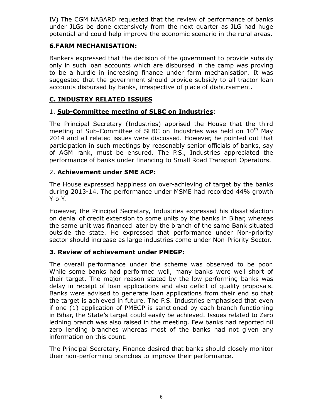IV) The CGM NABARD requested that the review of performance of banks under JLGs be done extensively from the next quarter as JLG had huge potential and could help improve the economic scenario in the rural areas.

## 6.FARM MECHANISATION:

Bankers expressed that the decision of the government to provide subsidy only in such loan accounts which are disbursed in the camp was proving to be a hurdle in increasing finance under farm mechanisation. It was suggested that the government should provide subsidy to all tractor loan accounts disbursed by banks, irrespective of place of disbursement.

## C. INDUSTRY RELATED ISSUES

# 1. Sub-Committee meeting of SLBC on Industries:

The Principal Secretary (Industries) apprised the House that the third meeting of Sub-Committee of SLBC on Industries was held on  $10^{th}$  May 2014 and all related issues were discussed. However, he pointed out that participation in such meetings by reasonably senior officials of banks, say of AGM rank, must be ensured. The P.S., Industries appreciated the performance of banks under financing to Small Road Transport Operators.

#### 2. Achievement under SME ACP:

The House expressed happiness on over-achieving of target by the banks during 2013-14. The performance under MSME had recorded 44% growth Y-o-Y.

However, the Principal Secretary, Industries expressed his dissatisfaction on denial of credit extension to some units by the banks in Bihar, whereas the same unit was financed later by the branch of the same Bank situated outside the state. He expressed that performance under Non-priority sector should increase as large industries come under Non-Priority Sector.

# 3. Review of achievement under PMEGP:

The overall performance under the scheme was observed to be poor. While some banks had performed well, many banks were well short of their target. The major reason stated by the low performing banks was delay in receipt of loan applications and also deficit of quality proposals. Banks were advised to generate loan applications from their end so that the target is achieved in future. The P.S. Industries emphasised that even if one (1) application of PMEGP is sanctioned by each branch functioning in Bihar, the State's target could easily be achieved. Issues related to Zero ledning branch was also raised in the meeting. Few banks had reported nil zero lending branches whereas most of the banks had not given any information on this count.

The Principal Secretary, Finance desired that banks should closely monitor their non-performing branches to improve their performance.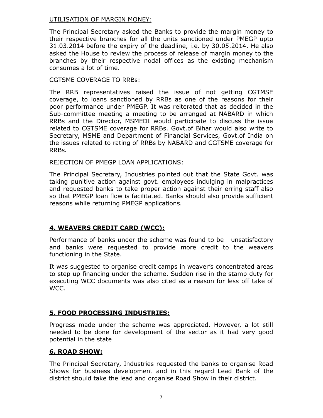#### UTILISATION OF MARGIN MONEY:

The Principal Secretary asked the Banks to provide the margin money to their respective branches for all the units sanctioned under PMEGP upto 31.03.2014 before the expiry of the deadline, i.e. by 30.05.2014. He also asked the House to review the process of release of margin money to the branches by their respective nodal offices as the existing mechanism consumes a lot of time.

#### CGTSME COVERAGE TO RRBs:

The RRB representatives raised the issue of not getting CGTMSE coverage, to loans sanctioned by RRBs as one of the reasons for their poor performance under PMEGP. It was reiterated that as decided in the Sub-committee meeting a meeting to be arranged at NABARD in which RRBs and the Director, MSMEDI would participate to discuss the issue related to CGTSME coverage for RRBs. Govt.of Bihar would also write to Secretary, MSME and Department of Financial Services, Govt.of India on the issues related to rating of RRBs by NABARD and CGTSME coverage for RRBs.

#### REJECTION OF PMEGP LOAN APPLICATIONS:

The Principal Secretary, Industries pointed out that the State Govt. was taking punitive action against govt. employees indulging in malpractices and requested banks to take proper action against their erring staff also so that PMEGP loan flow is facilitated. Banks should also provide sufficient reasons while returning PMEGP applications.

# 4. WEAVERS CREDIT CARD (WCC):

Performance of banks under the scheme was found to be unsatisfactory and banks were requested to provide more credit to the weavers functioning in the State.

It was suggested to organise credit camps in weaver's concentrated areas to step up financing under the scheme. Sudden rise in the stamp duty for executing WCC documents was also cited as a reason for less off take of WCC.

#### 5. FOOD PROCESSING INDUSTRIES:

Progress made under the scheme was appreciated. However, a lot still needed to be done for development of the sector as it had very good potential in the state

#### 6. ROAD SHOW:

The Principal Secretary, Industries requested the banks to organise Road Shows for business development and in this regard Lead Bank of the district should take the lead and organise Road Show in their district.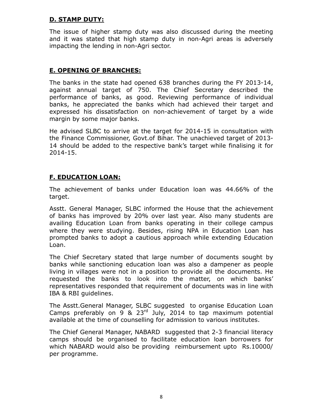## D. STAMP DUTY:

The issue of higher stamp duty was also discussed during the meeting and it was stated that high stamp duty in non-Agri areas is adversely impacting the lending in non-Agri sector.

## E. OPENING OF BRANCHES:

The banks in the state had opened 638 branches during the FY 2013-14, against annual target of 750. The Chief Secretary described the performance of banks, as good. Reviewing performance of individual banks, he appreciated the banks which had achieved their target and expressed his dissatisfaction on non-achievement of target by a wide margin by some major banks.

He advised SLBC to arrive at the target for 2014-15 in consultation with the Finance Commissioner, Govt.of Bihar. The unachieved target of 2013- 14 should be added to the respective bank's target while finalising it for 2014-15.

#### F. EDUCATION LOAN:

The achievement of banks under Education loan was 44.66% of the target.

Asstt. General Manager, SLBC informed the House that the achievement of banks has improved by 20% over last year. Also many students are availing Education Loan from banks operating in their college campus where they were studying. Besides, rising NPA in Education Loan has prompted banks to adopt a cautious approach while extending Education Loan.

The Chief Secretary stated that large number of documents sought by banks while sanctioning education loan was also a dampener as people living in villages were not in a position to provide all the documents. He requested the banks to look into the matter, on which banks' representatives responded that requirement of documents was in line with IBA & RBI guidelines.

The Asstt.General Manager, SLBC suggested to organise Education Loan Camps preferably on 9 &  $23<sup>rd</sup>$  July, 2014 to tap maximum potential available at the time of counselling for admission to various institutes.

The Chief General Manager, NABARD suggested that 2-3 financial literacy camps should be organised to facilitate education loan borrowers for which NABARD would also be providing reimbursement upto Rs.10000/ per programme.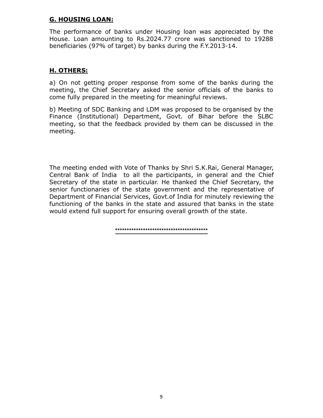## G. HOUSING LOAN:

The performance of banks under Housing loan was appreciated by the House. Loan amounting to Rs.2024.77 crore was sanctioned to 19288 beneficiaries (97% of target) by banks during the F.Y.2013-14.

# H. OTHERS:

a) On not getting proper response from some of the banks during the meeting, the Chief Secretary asked the senior officials of the banks to come fully prepared in the meeting for meaningful reviews.

b) Meeting of SDC Banking and LDM was proposed to be organised by the Finance (Institutional) Department, Govt. of Bihar before the SLBC meeting, so that the feedback provided by them can be discussed in the meeting.

The meeting ended with Vote of Thanks by Shri S.K.Rai, General Manager, Central Bank of India to all the participants, in general and the Chief Secretary of the state in particular. He thanked the Chief Secretary, the senior functionaries of the state government and the representative of Department of Financial Services, Govt.of India for minutely reviewing the functioning of the banks in the state and assured that banks in the state would extend full support for ensuring overall growth of the state.

**\*\*\*\*\*\*\*\*\*\*\*\*\*\*\*\*\*\*\*\*\*\*\*\*\*\*\*\*\*\*\*\*\*\*\*\*\*\*\*\***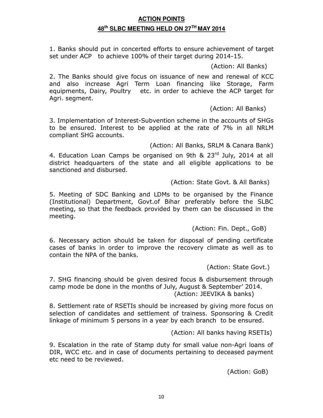## **ACTION POINTS 48th SLBC MEETING HELD ON 27TH MAY 2014**

1. Banks should put in concerted efforts to ensure achievement of target set under ACP to achieve 100% of their target during 2014-15.

(Action: All Banks)

2. The Banks should give focus on issuance of new and renewal of KCC and also increase Agri Term Loan financing like Storage, Farm equipments, Dairy, Poultry etc. in order to achieve the ACP target for Agri. segment.

(Action: All Banks)

3. Implementation of Interest-Subvention scheme in the accounts of SHGs to be ensured. Interest to be applied at the rate of 7% in all NRLM compliant SHG accounts.

(Action: All Banks, SRLM & Canara Bank)

4. Education Loan Camps be organised on 9th  $\&$  23<sup>rd</sup> July, 2014 at all district headquarters of the state and all eligible applications to be sanctioned and disbursed.

(Action: State Govt. & All Banks)

5. Meeting of SDC Banking and LDMs to be organised by the Finance (Institutional) Department, Govt.of Bihar preferably before the SLBC meeting, so that the feedback provided by them can be discussed in the meeting.

(Action: Fin. Dept., GoB)

6. Necessary action should be taken for disposal of pending certificate cases of banks in order to improve the recovery climate as well as to contain the NPA of the banks.

(Action: State Govt.)

7. SHG financing should be given desired focus & disbursement through camp mode be done in the months of July, August & September' 2014. (Action: JEEVIKA & banks)

8. Settlement rate of RSETIs should be increased by giving more focus on selection of candidates and settlement of trainess. Sponsoring & Credit linkage of minimum 5 persons in a year by each branch to be ensured.

(Action: All banks having RSETIs)

9. Escalation in the rate of Stamp duty for small value non-Agri loans of DIR, WCC etc. and in case of documents pertaining to deceased payment etc need to be reviewed.

(Action: GoB)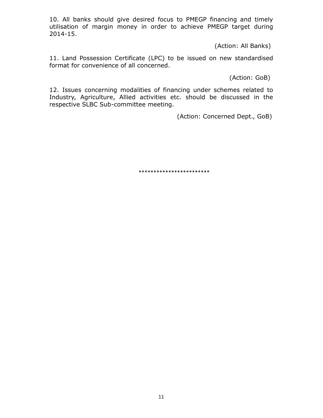10. All banks should give desired focus to PMEGP financing and timely utilisation of margin money in order to achieve PMEGP target during 2014-15.

(Action: All Banks)

11. Land Possession Certificate (LPC) to be issued on new standardised format for convenience of all concerned.

(Action: GoB)

12. Issues concerning modalities of financing under schemes related to Industry, Agriculture, Allied activities etc. should be discussed in the respective SLBC Sub-committee meeting.

(Action: Concerned Dept., GoB)

\*\*\*\*\*\*\*\*\*\*\*\*\*\*\*\*\*\*\*\*\*\*\*\*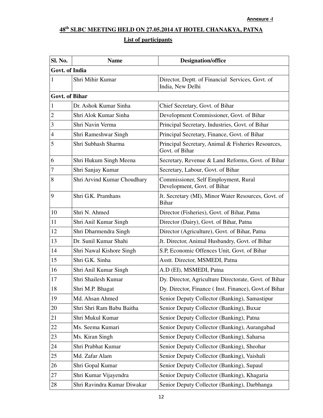# **48th SLBC MEETING HELD ON 27.05.2014 AT HOTEL CHANAKYA, PATNA**

# **List of participants**

| Sl. No.               | <b>Name</b>                 | <b>Designation/office</b>                                            |
|-----------------------|-----------------------------|----------------------------------------------------------------------|
| Govt. of India        |                             |                                                                      |
| 1                     | Shri Mihir Kumar            | Director, Deptt. of Financial Services, Govt. of<br>India, New Delhi |
| <b>Govt. of Bihar</b> |                             |                                                                      |
| 1                     | Dr. Ashok Kumar Sinha       | Chief Secretary, Govt. of Bihar                                      |
| 2                     | Shri Alok Kumar Sinha       | Development Commissioner, Govt. of Bihar                             |
| 3                     | Shri Navin Verma            | Principal Secretary, Industries, Govt. of Bihar                      |
| $\overline{4}$        | Shri Rameshwar Singh        | Principal Secretary, Finance, Govt. of Bihar                         |
| 5                     | Shri Subhash Sharma         | Principal Secretary, Animal & Fisheries Resources,<br>Govt. of Bihar |
| 6                     | Shri Hukum Singh Meena      | Secretary, Revenue & Land Reforms, Govt. of Bihar                    |
| 7                     | Shri Sanjay Kumar           | Secretary, Labour, Govt. of Bihar                                    |
| 8                     | Shri Arvind Kumar Choudhary | Commissioner, Self Employment, Rural<br>Development, Govt. of Bihar  |
| 9                     | Shri G.K. Pramhans          | Jt. Secretary (MI), Minor Water Resources, Govt. of<br><b>Bihar</b>  |
| 10                    | Shri N. Ahmed               | Director (Fisheries), Govt. of Bihar, Patna                          |
| 11                    | Shri Anil Kumar Singh       | Director (Dairy), Govt. of Bihar, Patna                              |
| 12                    | Shri Dharmendra Singh       | Director (Agriculture), Govt. of Bihar, Patna                        |
| 13                    | Dr. Sunil Kumar Shahi       | Jt. Director, Animal Husbandry, Govt. of Bihar                       |
| 14                    | Shri Nawal Kishore Singh    | S.P, Economic Offences Unit, Govt. of Bihar                          |
| 15                    | Shri G.K. Sinha             | Asstt. Director, MSMEDI, Patna                                       |
| 16                    | Shri Anil Kumar Singh       | A.D (EI), MSMEDI, Patna                                              |
| 17                    | Shri Shailesh Kumar         | Dy. Director, Agriculture Directorate, Govt. of Bihar                |
| 18                    | Shri M.P. Bhagat            | Dy. Director, Finance (Inst. Finance), Govt.of Bihar                 |
| 19                    | Md. Ahsan Ahmed             | Senior Deputy Collector (Banking), Samastipur                        |
| 20                    | Shri Shri Ram Babu Baitha   | Senior Deputy Collector (Banking), Buxar                             |
| 21                    | Shri Mukul Kumar            | Senior Deputy Collector (Banking), Patna                             |
| 22                    | Ms. Seema Kumari            | Senior Deputy Collector (Banking), Aurangabad                        |
| 23                    | Ms. Kiran Singh             | Senior Deputy Collector (Banking), Saharsa                           |
| 24                    | Shri Prabhat Kumar          | Senior Deputy Collector (Banking), Sheohar                           |
| 25                    | Md. Zafar Alam              | Senior Deputy Collector (Banking), Vaishali                          |
| 26                    | Shri Gopal Kumar            | Senior Deputy Collector (Banking), Supaul                            |
| 27                    | Shri Kumar Vijayendra       | Senior Deputy Collector (Banking), Khagaria                          |
| 28                    | Shri Ravindra Kumar Diwakar | Senior Deputy Collector (Banking), Darbhanga                         |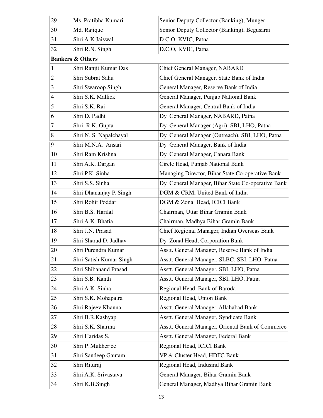| 29             | Ms. Pratibha Kumari         | Senior Deputy Collector (Banking), Munger          |
|----------------|-----------------------------|----------------------------------------------------|
| 30             | Md. Rajique                 | Senior Deputy Collector (Banking), Begusarai       |
| 31             | Shri A.K.Jaiswal            | D.C.O, KVIC, Patna                                 |
| 32             | Shri R.N. Singh             | D.C.O, KVIC, Patna                                 |
|                | <b>Bankers &amp; Others</b> |                                                    |
| $\mathbf{1}$   | Shri Ranjit Kumar Das       | Chief General Manager, NABARD                      |
| $\overline{2}$ | Shri Subrat Sahu            | Chief General Manager, State Bank of India         |
| 3              | Shri Swaroop Singh          | General Manager, Reserve Bank of India             |
| 4              | Shri S.K. Mallick           | General Manager, Punjab National Bank              |
| 5              | Shri S.K. Rai               | General Manager, Central Bank of India             |
| 6              | Shri D. Padhi               | Dy. General Manager, NABARD, Patna                 |
| 7              | Shri. R.K. Gupta            | Dy. General Manager (Agri), SBI, LHO, Patna        |
| 8              | Shri N. S. Napalchayal      | Dy. General Manager (Outreach), SBI, LHO, Patna    |
| 9              | Shri M.N.A. Ansari          | Dy. General Manager, Bank of India                 |
| 10             | Shri Ram Krishna            | Dy. General Manager, Canara Bank                   |
| 11             | Shri A.K. Dargan            | Circle Head, Punjab National Bank                  |
| 12             | Shri P.K. Sinha             | Managing Director, Bihar State Co-operative Bank   |
| 13             | Shri S.S. Sinha             | Dy. General Manager, Bihar State Co-operative Bank |
| 14             | Shri Dhananjay P. Singh     | DGM & CRM, United Bank of India                    |
| 15             | Shri Rohit Poddar           | DGM & Zonal Head, ICICI Bank                       |
| 16             | Shri B.S. Harilal           | Chairman, Uttar Bihar Gramin Bank                  |
| 17             | Shri A.K. Bhatia            | Chairman, Madhya Bihar Gramin Bank                 |
| 18             | Shri J.N. Prasad            | Chief Regional Manager, Indian Overseas Bank       |
| 19             | Shri Sharad D. Jadhav       | Dy. Zonal Head, Corporation Bank                   |
| 20             | Shri Purendra Kumar         | Asstt. General Manager, Reserve Bank of India      |
| 21             | Shri Satish Kumar Singh     | Asstt. General Manager, SLBC, SBI, LHO, Patna      |
| 22             | Shri Shibanand Prasad       | Asstt. General Manager, SBI, LHO, Patna            |
| 23             | Shri S.B. Kanth             | Asstt. General Manager, SBI, LHO, Patna            |
| 24             | Shri A.K. Sinha             | Regional Head, Bank of Baroda                      |
| 25             | Shri S.K. Mohapatra         | Regional Head, Union Bank                          |
| 26             | Shri Rajeev Khanna          | Asstt. General Manager, Allahabad Bank             |
| 27             | Shri B.R.Kashyap            | Asstt. General Manager, Syndicate Bank             |
| 28             | Shri S.K. Sharma            | Asstt. General Manager, Oriental Bank of Commerce  |
| 29             | Shri Haridas S.             | Asstt. General Manager, Federal Bank               |
| 30             | Shri P. Mukherjee           | Regional Head, ICICI Bank                          |
| 31             | Shri Sandeep Gautam         | VP & Cluster Head, HDFC Bank                       |
| 32             | Shri Rituraj                | Regional Head, Indusind Bank                       |
| 33             | Shri A.K. Srivastava        | General Manager, Bihar Gramin Bank                 |
| 34             | Shri K.B.Singh              | General Manager, Madhya Bihar Gramin Bank          |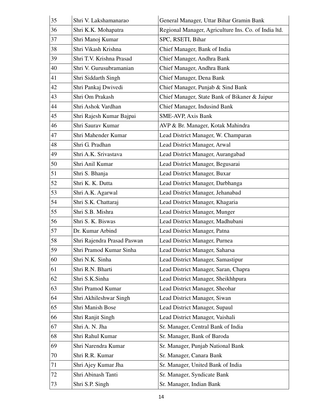| 35 | Shri V. Lakshamanarao       | General Manager, Uttar Bihar Gramin Bank             |
|----|-----------------------------|------------------------------------------------------|
| 36 | Shri K.K. Mohapatra         | Regional Manager, Agriculture Ins. Co. of India ltd. |
| 37 | Shri Manoj Kumar            | SPC, RSETI, Bihar                                    |
| 38 | Shri Vikash Krishna         | Chief Manager, Bank of India                         |
| 39 | Shri T.V. Krishna Prasad    | Chief Manager, Andhra Bank                           |
| 40 | Shri V. Gurusubramanian     | Chief Manager, Andhra Bank                           |
| 41 | Shri Siddarth Singh         | Chief Manager, Dena Bank                             |
| 42 | Shri Pankaj Dwivedi         | Chief Manager, Punjab & Sind Bank                    |
| 43 | Shri Om Prakash             | Chief Manager, State Bank of Bikaner & Jaipur        |
| 44 | Shri Ashok Vardhan          | Chief Manager, Indusind Bank                         |
| 45 | Shri Rajesh Kumar Bajpai    | <b>SME-AVP, Axis Bank</b>                            |
| 46 | Shri Saurav Kumar           | AVP & Br. Manager, Kotak Mahindra                    |
| 47 | Shri Mahender Kumar         | Lead District Manager, W. Champaran                  |
| 48 | Shri G. Pradhan             | Lead District Manager, Arwal                         |
| 49 | Shri A.K. Srivastava        | Lead District Manager, Aurangabad                    |
| 50 | Shri Anil Kumar             | Lead District Manager, Begusarai                     |
| 51 | Shri S. Bhanja              | Lead District Manager, Buxar                         |
| 52 | Shri K. K. Dutta            | Lead District Manager, Darbhanga                     |
| 53 | Shri A.K. Agarwal           | Lead District Manager, Jehanabad                     |
| 54 | Shri S.K. Chattaraj         | Lead District Manager, Khagaria                      |
| 55 | Shri S.B. Mishra            | Lead District Manager, Munger                        |
| 56 | Shri S. K. Biswas           | Lead District Manager, Madhubani                     |
| 57 | Dr. Kumar Arbind            | Lead District Manager, Patna                         |
| 58 | Shri Rajendra Prasad Paswan | Lead District Manager, Purnea                        |
| 59 | Shri Pramod Kumar Sinha     | Lead District Manager, Saharsa                       |
| 60 | Shri N.K. Sinha             | Lead District Manager, Samastipur                    |
| 61 | Shri R.N. Bharti            | Lead District Manager, Saran, Chapra                 |
| 62 | Shri S.K.Sinha              | Lead District Manager, Sheikhhpura                   |
| 63 | Shri Pramod Kumar           | Lead District Manager, Sheohar                       |
| 64 | Shri Akhileshwar Singh      | Lead District Manager, Siwan                         |
| 65 | Shri Manish Bose            | Lead District Manager, Supaul                        |
| 66 | Shri Ranjit Singh           | Lead District Manager, Vaishali                      |
| 67 | Shri A. N. Jha              | Sr. Manager, Central Bank of India                   |
| 68 | Shri Rahul Kumar            | Sr. Manager, Bank of Baroda                          |
| 69 | Shri Narendra Kumar         | Sr. Manager, Punjab National Bank                    |
| 70 | Shri R.R. Kumar             | Sr. Manager, Canara Bank                             |
| 71 | Shri Ajey Kumar Jha         | Sr. Manager, United Bank of India                    |
| 72 | Shri Abinash Tanti          | Sr. Manager, Syndicate Bank                          |
| 73 | Shri S.P. Singh             | Sr. Manager, Indian Bank                             |